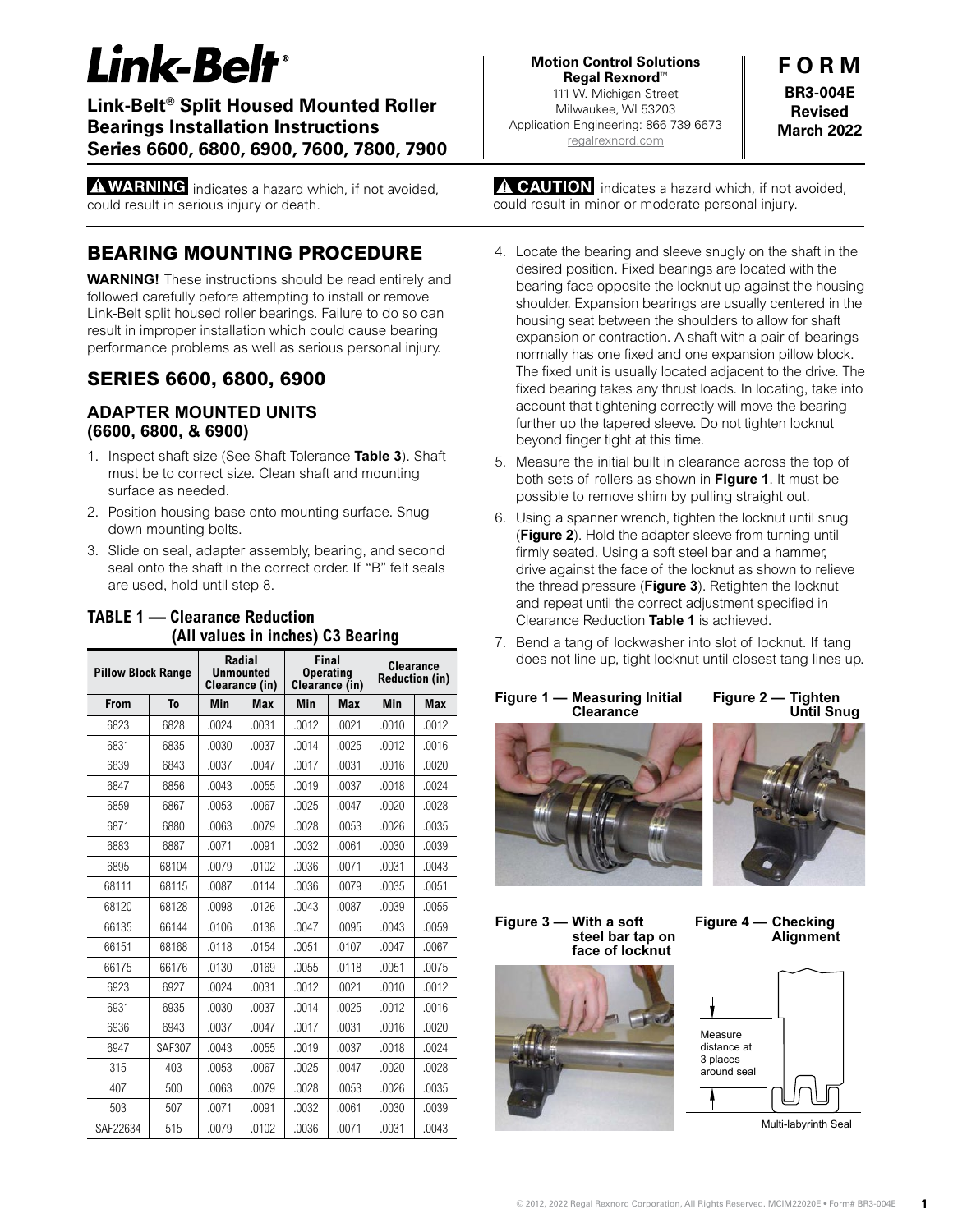# $$

#### *Mounted Roller Bearings Mounted Roller Bearings Mounted Roller Bearings*  **Link-Belt® Split Housed Mounted Roller MARNING: 2008. INSTRUCTIONS SHOWED BEARING: AND FOLLOWED BEARING AND FOLLOWED BEAR**<br>**Beries 6600, 6800, 6900, 7600, 7800, 7900** carefully before attention to install or remove Link-Belt split house  $\mathcal{L}_\mathbf{p}$ **Bearings Installation Instructions Applicatly Applicatly** carefully before attention to install or remove Link-Belt split house  $\mathcal{L}_\mathbf{p}$ **<u>Series 6600, 6800, 6900, 7600, 7800, 7900</u>**

 $\Delta$  MADNINGS. Failure to do so can result in improper installation which could cause  $\Delta$ **believe problems** indicates a hazard which, if not as could result in serious injury or death.  $\Delta$  manipulation  $\mathbf{r}$  is the so called cause in improper installation which could cause in improper installation which cause in installation  $\mathbf{r}$ **bearing problems** indicates a hazard which, if h carefully before at the install or remove Link-Belt split house Link-Belt split house Link-Belt split house at the install or remove Link-Belt split house at the install or remove Link-Belt split house at the install of th **A WARNING** indicates a hazard which, if not avoided,

### **BEARING MOUNTING PROCEDURE** bearing mounting procedure

1. Inspect shaft size (see shaft tolerance table, Page 2. Table 3). Shaft must

1. Inspect shaft size (see shaft tolerance table, Page 2. Table 3). Shaft must

**ADAPTER MOUNTED UNITS (6600, 6800, & 6900)** 

**WARNING!** These instructions should be read entirely and followed carefully before attempting to install or remove Link-Belt split housed roller bearings. Failure to do so can result in improper installation which could cause bearing the housing meansion when search cause bedining<br>performance problems as well as serious personal injury. **WARNING!** These instructions should be read e periormance problems as well as senous personal injury. 3. Slide on seal, adapter assembly, bearing, and second seal onto the shaft in WARNING! These instructions should be read entirely and the housing seat between the shoulders to allow for showledge to allow for showledge to allow for shaft expansion or shaft expansion of the showledge to allow for showledge to allow the showledge to allow the showledge to contraction. A share in the main one one fixed and one fixed and one fixed and one fixed and one fixed and one performance problems as well as sendas personal ligary.

#### **SERIES 6600, 6800, 6900** drives and fixed bearing the fixed bearing takes and the fixed set of the set of  $\sim$  $\overline{a}$  fixed adjacent pillow block. The fixed unit is usually located adjacent to the fixed adjacent to the fixed adjacent to the fixed unit is usually located adjacent to the fixed value of  $\overline{a}$ SERIES 6600, 6800, 6900 expansion pillow block. The fixed unit is usually located adjacent to the

#### **ADAPTER MOUNTED UNITS (6600, 6800, & 6900) Samure the initial built in clear** built in clear sets of  $\mathbf{c}$  $\alpha$ ,  $\alpha$ ,  $\alpha$ ,  $\alpha$ ,  $\alpha$ ,  $\alpha$ ,  $\beta$ ,  $\beta$ ,  $\beta$ ,  $\beta$ ,  $\beta$ ,  $\beta$ ,  $\beta$ ,  $\beta$ ,  $\beta$ ,  $\beta$ ,  $\beta$ ,  $\beta$ ,  $\beta$ ,  $\beta$ ,  $\beta$ ,  $\beta$ ,  $\beta$ ,  $\beta$ ,  $\beta$ ,  $\beta$ ,  $\beta$ ,  $\beta$ ,  $\beta$ ,  $\beta$ ,  $\beta$ ,  $\beta$ ,  $\beta$ ,  $\beta$ ,  $\beta$ ,  $\beta$ ,  $\beta$ ,  $5.68$  Measure the initial built in clear across the top of  $\sim$  $(6600, 6800, 86900)$ ADAPIER MOUNTED UNITS

- **the content of the initial straight out.**<br>1. Inspect shaft size (See Shaft Tolerance **[Table 3](#page-1-0)**). Shaft must be to correct size. Clean shaft and mounting meet be to contest size. Sheart share and meaning surface as needed.  $\frac{1}{\sqrt{2}}$  drive as nuture. made botto contour dizd. Cloan chart and modifing surface as needed. 1. Inspect shaft size (See Shaft Iolerance **Table 3**). Shi
	- 2. Position housing base onto mounting surface. Snug down mounting bolts. 1) is achieved. z. Position housing base onto mounting surface. Shug
- 3. Slide on seal, adapter assembly, bearing, and second seal onto the shaft in the correct order. If "B" felt seals are used, hold until step 8.  $\frac{1}{2}$

| <b>Pillow Block Range</b> |               |       | <b>Radial</b><br><b>Unmounted</b><br>Clearance (in) | Final<br><b>Operating</b><br>Clearance (in) |            | <b>Clearance</b><br><b>Reduction (in)</b> |            |
|---------------------------|---------------|-------|-----------------------------------------------------|---------------------------------------------|------------|-------------------------------------------|------------|
| From                      | To            | Min   | <b>Max</b>                                          | Min                                         | <b>Max</b> | Min                                       | <b>Max</b> |
| 6823                      | 6828          | .0024 | .0031                                               | .0012                                       | .0021      | .0010                                     | .0012      |
| 6831                      | 6835          | .0030 | .0037                                               | .0014                                       | .0025      | .0012                                     | .0016      |
| 6839                      | 6843          | .0037 | .0047                                               | .0017                                       | .0031      | .0016                                     | .0020      |
| 6847                      | 6856          | .0043 | .0055                                               | .0019                                       | .0037      | .0018                                     | .0024      |
| 6859                      | 6867          | .0053 | .0067                                               | .0025                                       | .0047      | .0020                                     | .0028      |
| 6871                      | 6880          | .0063 | .0079                                               | .0028                                       | .0053      | .0026                                     | .0035      |
| 6883                      | 6887          | .0071 | .0091                                               | .0032                                       | .0061      | .0030                                     | .0039      |
| 6895                      | 68104         | .0079 | .0102                                               | .0036                                       | .0071      | .0031                                     | .0043      |
| 68111                     | 68115         | .0087 | .0114                                               | .0036                                       | .0079      | .0035                                     | .0051      |
| 68120                     | 68128         | .0098 | .0126                                               | .0043                                       | .0087      | .0039                                     | .0055      |
| 66135                     | 66144         | .0106 | .0138                                               | .0047                                       | .0095      | .0043                                     | .0059      |
| 66151                     | 68168         | .0118 | .0154                                               | .0051                                       | .0107      | .0047                                     | .0067      |
| 66175                     | 66176         | .0130 | .0169                                               | .0055                                       | .0118      | .0051                                     | .0075      |
| 6923                      | 6927          | .0024 | .0031                                               | .0012                                       | .0021      | .0010                                     | .0012      |
| 6931                      | 6935          | .0030 | .0037                                               | .0014                                       | .0025      | .0012                                     | .0016      |
| 6936                      | 6943          | .0037 | .0047                                               | .0017                                       | .0031      | .0016                                     | .0020      |
| 6947                      | <b>SAF307</b> | .0043 | .0055                                               | .0019                                       | .0037      | .0018                                     | .0024      |
| 315                       | 403           | .0053 | .0067                                               | .0025                                       | .0047      | .0020                                     | .0028      |
| 407                       | 500           | .0063 | .0079                                               | .0028                                       | .0053      | .0026                                     | .0035      |
| 503                       | 507           | .0071 | .0091                                               | .0032                                       | .0061      | .0030                                     | .0039      |
| SAF22634                  | 515           | .0079 | .0102                                               | .0036                                       | .0071      | .0031                                     | .0043      |

#### **TABLE 1 — Clearance Reduction**  Clearance Clearance Clearance Clearance **COLUTE:** COLUTATION CONDUCTION  $\frac{1}{100}$ All values in inches) C3 Bearing **Pillow Block Range Range R Clearance Reduction**

# **INOTE INSTALLATION INSTRUCTIONS AND INSTALLATION INSTALLATION IN PORM**

**Baring Procedure Control Control Milwaukee, WI 53203**<br> **TREE Application Engineering: 866 739 6673 March 2022 Series 6600 <b>Feries 6600**, **6900 <b>CO** (ps)</u> **Regal Rexnord™ SHO-VU-L**<br>Milwaukee, WI 53203 **Revised**  $\frac{1}{2}$  Force greated in out the bearing unit of the other side of the other side of the other side of the other side of the other side of the other side of the other side of the other side of the other side of the othe  $\frac{1}{2}$  Force greated in out the bearing unit of the other of the other of the other out the other out the other out the other out the other out the other out the other out the other out the other out the other out the **Series 6600 Exercise EXAMPLE 111 W. Michigan Street Co. 688-004E** [regalrexnord.com](https://www.regalrexnord.com/)

**F O R M BR3-004E Revised March 2022**

bottom of the shaft. See LUBRICATION INFORMATION on page 2 for <u>a CAUTION</u> could result in minor or moderate personal injury. bottom of the shaft. See LUBRICATION INFORMATION INFORMATION INFORMATION INFORMATION INFORMATION INFORMATION I <u>a caulio</u> side all the way around. Fill grease reservoir on both sides to the **CAUTION** indicates a hazard which, if not avoided, 10. Install spacer ring between the bearing and housing shoulder to fix the

11. For oil lubricated bearings, apply non-hardening gasket compound to

unit in place. Since this step if expansion unit is required. Since the step if  $\alpha$ 

side all the way around. Fill grease reservoir on both sides to the

side all the way around the way around the way around the way around the way around the way of the way of the w

9. Force grease in one side of the bearing until it comes out the other

- 4. Locate the bearing and sleeve snugly on the shaft in the desired position. Fixed bearings are located with the desired position. Fixed bearings are located with the bearing face opposite the locknut up against the housing shoulder. Expansion bearings are usually centered in the housing seat between the shoulders to allow for shaft expansion or contraction. A shaft with a pair of bearings expansion of contraction remain many a pair of sealings normally has one fixed and one expansion pillow block. The fixed unit is usually located adjacent to the drive. The fixed bearing takes any thrust loads. In locating, take into account that tightening correctly will move the bearing further up the tapered sleeve. Do not tighten locknut beyond finger tight at this time. the method with a torque with a torque with the values in Table 2 on page 2. When page 2. When page 2. When page 2. When page 2. When page 2. When page 2. When page 2. When page 2. When page 2. When page 2. When page 2. Wh checked for unit the way are way around the seal of the seale. **"** shims to avoid distorting the housing and pinching the bearing. lubrication or boding and closed chapty on and chart in all the distribution of the total transport with the values of the values of  $\alpha$ the bore of the seal of the seal of the seal of the seal of the seal of the seal of the seal of the visual seal normally has one fixed and one expansion pillow block. Figure 4. Align by shipment of the shipment of the shipment of the shipment of the shipment area of the shipment of the shipment of the shipment of the shipment of the shipment of the shipment of the shipment of the shipme beyond finger tight at this time. could the boundy and bloove phagiy on the bhatting desired position. Trixed beamings are located with the Fire fixed thin is usually located adjacent to the drive. The
	- 5. Measure the initial built in clearance across the top of both sets of rollers as shown in Figure 1. It must be possible to remove shim by pulling straight out. Popolisis to forhove similarly palinty directly reads recommended. Download property in property in property in property in property and the property of property in property and the property of the property of the property of the property of the property of the property of th possible to remove shim by pulling straight out. weasure the initial built in clearance across the top of
- 6. Using a spanner wrench, tighten the locknut until snug (Figure 2). Hold the adapter sleeve from turning until firmly seated. Using a soft steel bar and a hammer, ming seated, sening a senioded, said and a hammed, drive against the face of the locknut as shown to relieve the thread pressure (**Figure 3**). Retighten the locknut and repeat until the correct adjustment specified in Clearance Reduction **Table 1** is achieved. anve against the bolts can be used, properties to the use of the seed to mount cast streaming drive against the face of the locknut as shown to relieve  $T$  osing a spanner wrench, ugnien the location unit shog
- 7. Bend a tang of lockwasher into slot of locknut. If tang does not line up, tight locknut until closest tang lines up. Bend a lang or lockwasher into slot interchangeable. The machined split line on base is marked and 7. Bend a tang of lockwasher into slot of locknut. If ta spoonding application to change the corresponding cap.





**Figure 3** — With a soft **Figure 4** — Checking **Figure 3 — With a soft steel bar tap on face of locknut** 



<span id="page-0-0"></span>



Multi-labyrinth Seal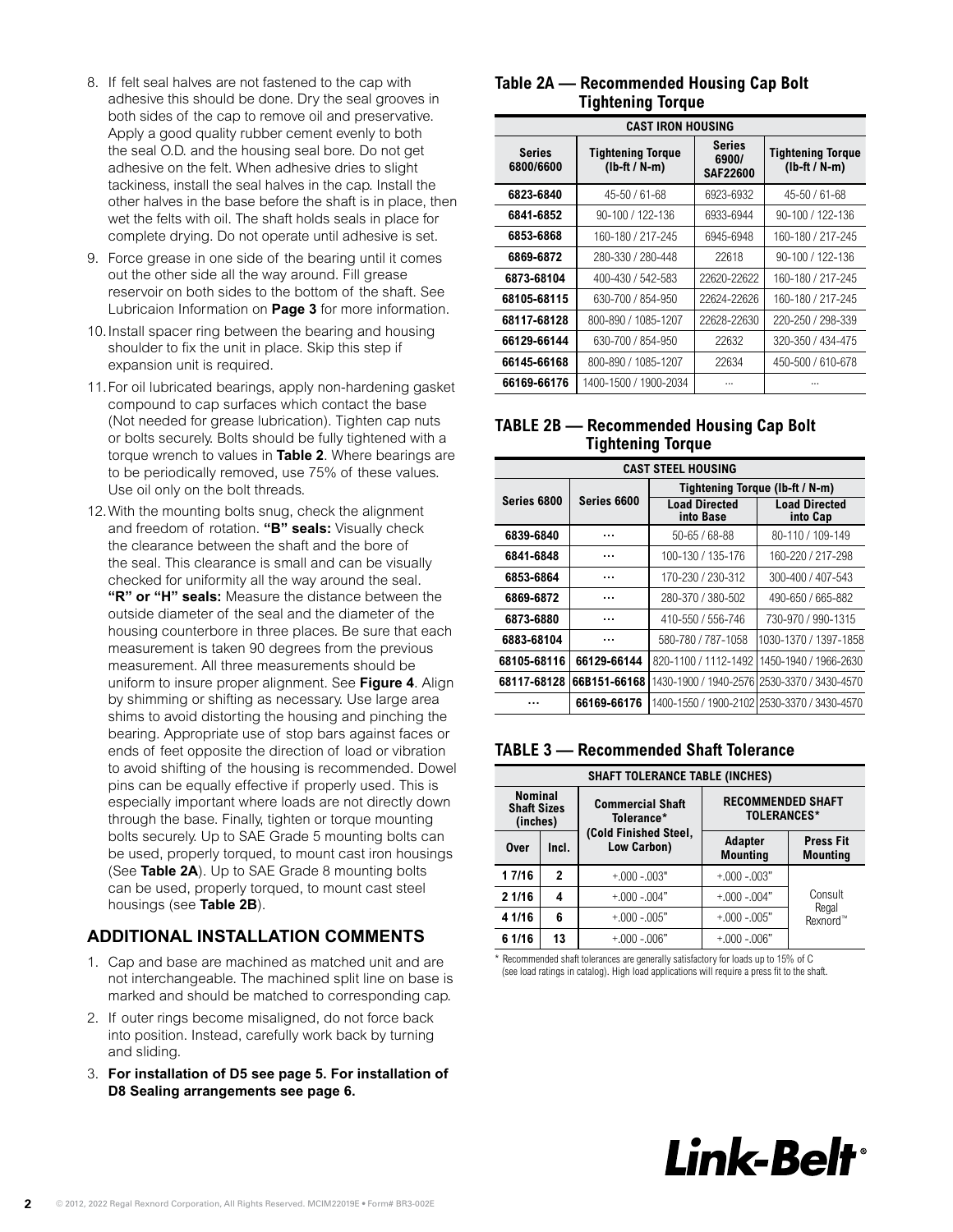- 8. If felt seal halves are not fastened to the cap with adhesive this should be done. Dry the seal grooves in both sides of the cap to remove oil and preservative. Apply a good quality rubber cement evenly to both the seal O.D. and the housing seal bore. Do not get adhesive on the felt. When adhesive dries to slight tackiness, install the seal halves in the cap. Install the other halves in the base before the shaft is in place, then wet the felts with oil. The shaft holds seals in place for complete drying. Do not operate until adhesive is set.
- 9. Force grease in one side of the bearing until it comes out the other side all the way around. Fill grease reservoir on both sides to the bottom of the shaft. See Lubricaion Information on **Page 3** for more information.
- 10.Install spacer ring between the bearing and housing shoulder to fix the unit in place. Skip this step if expansion unit is required.
- 11.For oil lubricated bearings, apply non-hardening gasket compound to cap surfaces which contact the base (Not needed for grease lubrication). Tighten cap nuts or bolts securely. Bolts should be fully tightened with a torque wrench to values in **Table 2**. Where bearings are to be periodically removed, use 75% of these values. Use oil only on the bolt threads.
- 12.With the mounting bolts snug, check the alignment and freedom of rotation. **"B" seals:** Visually check the clearance between the shaft and the bore of the seal. This clearance is small and can be visually checked for uniformity all the way around the seal. **"R" or "H" seals:** Measure the distance between the outside diameter of the seal and the diameter of the housing counterbore in three places. Be sure that each measurement is taken 90 degrees from the previous measurement. All three measurements should be uniform to insure proper alignment. See **[Figure 4](#page-0-0)**. Align by shimming or shifting as necessary. Use large area shims to avoid distorting the housing and pinching the bearing. Appropriate use of stop bars against faces or ends of feet opposite the direction of load or vibration to avoid shifting of the housing is recommended. Dowel pins can be equally effective if properly used. This is especially important where loads are not directly down through the base. Finally, tighten or torque mounting bolts securely. Up to SAE Grade 5 mounting bolts can be used, properly torqued, to mount cast iron housings (See **Table 2A**). Up to SAE Grade 8 mounting bolts can be used, properly torqued, to mount cast steel housings (see **Table 2B**).

# **ADDITIONAL INSTALLATION COMMENTS**

- 1. Cap and base are machined as matched unit and are not interchangeable. The machined split line on base is marked and should be matched to corresponding cap.
- 2. If outer rings become misaligned, do not force back into position. Instead, carefully work back by turning and sliding.
- 3. **For installation of D5 see [page 5.](#page-4-0) For installation of D8 Sealing arrangements see [page 6](#page-5-0).**

# **Table 2A — Recommended Housing Cap Bolt Tightening Torque**

|                            | <b>CAST IRON HOUSING</b>                    |                                    |                                             |  |  |  |  |
|----------------------------|---------------------------------------------|------------------------------------|---------------------------------------------|--|--|--|--|
| <b>Series</b><br>6800/6600 | <b>Tightening Torque</b><br>$(lb-ft / N-m)$ | Series<br>6900/<br><b>SAF22600</b> | <b>Tightening Torque</b><br>$(lb-ft / N-m)$ |  |  |  |  |
| 6823-6840                  | 45-50 / 61-68                               | 6923-6932                          | 45-50 / 61-68                               |  |  |  |  |
| 6841-6852                  | $90 - 100 / 122 - 136$                      | 6933-6944                          | 90-100 / 122-136                            |  |  |  |  |
| 6853-6868                  | 160-180 / 217-245                           | 6945-6948                          | 160-180 / 217-245                           |  |  |  |  |
| 6869-6872                  | 280-330 / 280-448                           | 22618                              | $90 - 100 / 122 - 136$                      |  |  |  |  |
| 6873-68104                 | 400-430 / 542-583                           | 22620-22622                        | 160-180 / 217-245                           |  |  |  |  |
| 68105-68115                | 630-700 / 854-950                           | 22624-22626                        | 160-180 / 217-245                           |  |  |  |  |
| 68117-68128                | 800-890 / 1085-1207                         | 22628-22630                        | 220-250 / 298-339                           |  |  |  |  |
| 66129-66144                | 630-700 / 854-950                           | 22632                              | 320-350 / 434-475                           |  |  |  |  |
| 66145-66168                | 800-890 / 1085-1207                         | 22634                              | 450-500 / 610-678                           |  |  |  |  |
| 66169-66176                | 1400-1500 / 1900-2034                       |                                    |                                             |  |  |  |  |

# **TABLE 2B — Recommended Housing Cap Bolt Tightening Torque**

|             | <b>CAST STEEL HOUSING</b> |                                   |                                              |  |  |
|-------------|---------------------------|-----------------------------------|----------------------------------------------|--|--|
|             |                           | Tightening Torque (lb-ft / N-m)   |                                              |  |  |
| Series 6800 | Series 6600               | <b>Load Directed</b><br>into Base | <b>Load Directed</b><br>into Cap             |  |  |
| 6839-6840   | .                         | 50-65 / 68-88                     | 80-110 / 109-149                             |  |  |
| 6841-6848   | .                         | 100-130 / 135-176                 | 160-220 / 217-298                            |  |  |
| 6853-6864   | .                         | 170-230 / 230-312                 | 300-400 / 407-543                            |  |  |
| 6869-6872   |                           | 280-370 / 380-502                 | 490-650 / 665-882                            |  |  |
| 6873-6880   |                           | 410-550 / 556-746                 | 730-970 / 990-1315                           |  |  |
| 6883-68104  |                           | 580-780 / 787-1058                | 1030-1370 / 1397-1858                        |  |  |
| 68105-68116 | 66129-66144               |                                   | 820-1100 / 1112-1492   1450-1940 / 1966-2630 |  |  |
| 68117-68128 | 66B151-66168              |                                   | 1430-1900 / 1940-2576 2530-3370 / 3430-4570  |  |  |
|             | 66169-66176               |                                   | 1400-1550 / 1900-2102 2530-3370 / 3430-4570  |  |  |

## <span id="page-1-0"></span>**TABLE 3 — Recommended Shaft Tolerance**

| <b>SHAFT TOLERANCE TABLE (INCHES)</b>            |                    |                                       |                                   |                                                |  |
|--------------------------------------------------|--------------------|---------------------------------------|-----------------------------------|------------------------------------------------|--|
| <b>Nominal</b><br><b>Shaft Sizes</b><br>(inches) |                    | <b>Commercial Shaft</b><br>Tolerance* |                                   | <b>RECOMMENDED SHAFT</b><br><b>TOLERANCES*</b> |  |
| Over                                             | Incl.              | (Cold Finished Steel,<br>Low Carbon)  | <b>Adapter</b><br><b>Mounting</b> | <b>Press Fit</b><br><b>Mounting</b>            |  |
| 1 7/16                                           | $\mathbf{2}$       | $+000 - 003"$                         | $+000 - 003"$                     |                                                |  |
| 2 1/16                                           | 4                  | $+000 - 004"$                         | $+000 - 004"$                     | Consult                                        |  |
| 4 1/16                                           | 6<br>$+000 - 005"$ |                                       | $+000 - 005"$                     | Regal<br>Rexnord™                              |  |
| 6 1/16                                           | 13                 | $+000 - 006"$                         | $+000 - 006"$                     |                                                |  |

\* Recommended shaft tolerances are generally satisfactory for loads up to 15% of C (see load ratings in catalog). High load applications will require a press fit to the shaft.

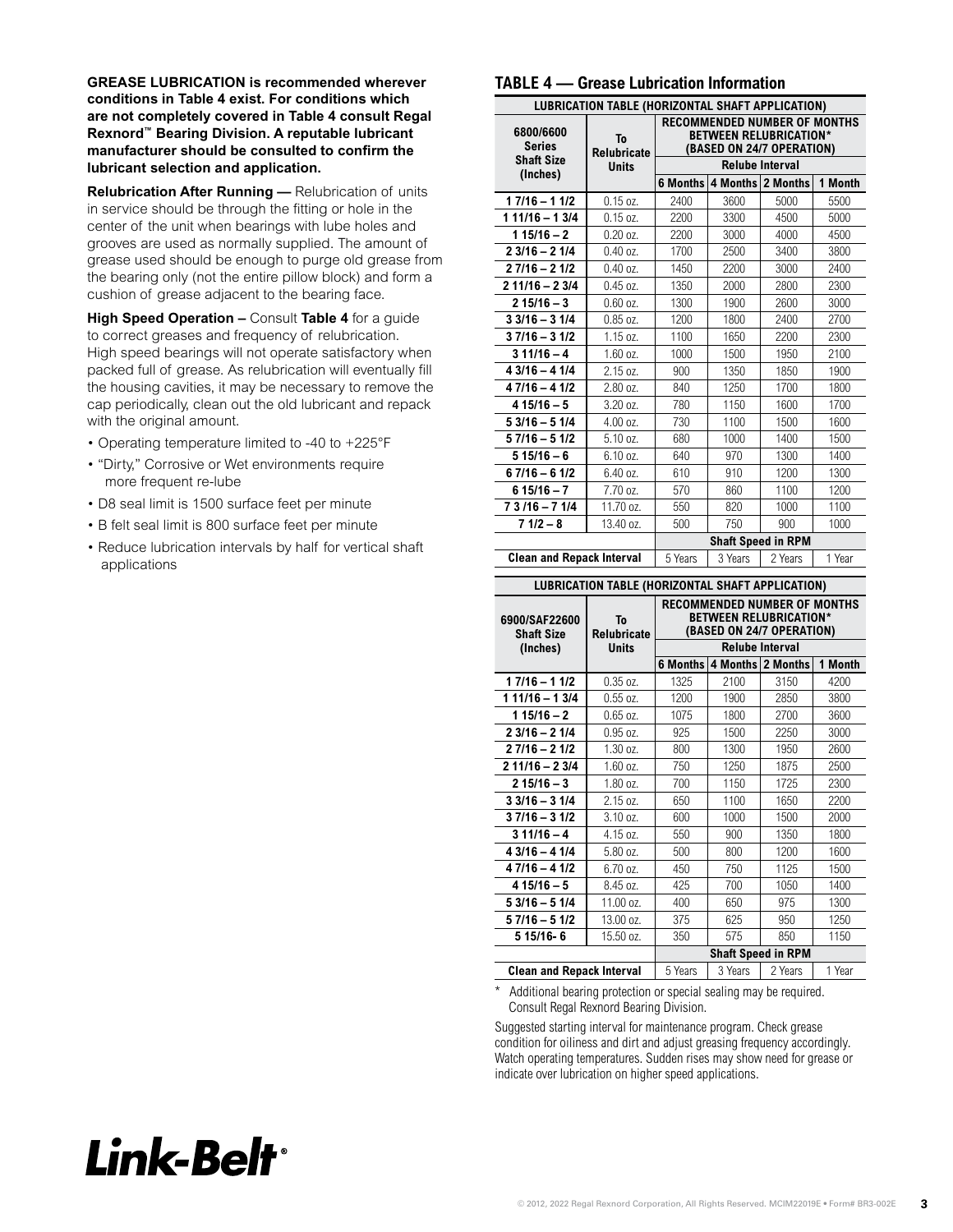**GREASE LUBRICATION is recommended wherever conditions in Table 4 exist. For conditions which are not completely covered in Table 4 consult Regal Rexnord™ Bearing Division. A reputable lubricant manufacturer should be consulted to confirm the lubricant selection and application.** 

**Relubrication After Running —** Relubrication of units in service should be through the fitting or hole in the center of the unit when bearings with lube holes and grooves are used as normally supplied. The amount of grease used should be enough to purge old grease from the bearing only (not the entire pillow block) and form a cushion of grease adjacent to the bearing face.

**High Speed Operation –** Consult **Table 4** for a guide to correct greases and frequency of relubrication. High speed bearings will not operate satisfactory when packed full of grease. As relubrication will eventually fill the housing cavities, it may be necessary to remove the cap periodically, clean out the old lubricant and repack with the original amount.

- Operating temperature limited to -40 to +225°F
- "Dirty," Corrosive or Wet environments require more frequent re-lube
- D8 seal limit is 1500 surface feet per minute
- B felt seal limit is 800 surface feet per minute
- Reduce lubrication intervals by half for vertical shaft applications

### **TABLE 4 — Grease Lubrication Information**

| LUBRICATION TABLE (HORIZONTAL SHAFT APPLICATION) |                          |                                         |                           |                                                                                                   |         |
|--------------------------------------------------|--------------------------|-----------------------------------------|---------------------------|---------------------------------------------------------------------------------------------------|---------|
| 6800/6600<br><b>Series</b>                       | To<br><b>Relubricate</b> |                                         |                           | <b>RECOMMENDED NUMBER OF MONTHS</b><br><b>BETWEEN RELUBRICATION*</b><br>(BASED ON 24/7 OPERATION) |         |
| <b>Shaft Size</b><br>(Inches)                    | <b>Units</b>             | <b>Relube Interval</b>                  |                           |                                                                                                   |         |
|                                                  |                          | <b>6 Months</b>                         | 4 Months                  | 2 Months                                                                                          | 1 Month |
| $17/16 - 11/2$                                   | $0.15$ oz.               | 2400                                    | 3600                      | 5000                                                                                              | 5500    |
| $11/16 - 13/4$                                   | $0.15$ oz.               | 2200                                    | 3300                      | 4500                                                                                              | 5000    |
| $115/16 - 2$                                     | $0.20$ oz.               | 2200                                    | 3000                      | 4000                                                                                              | 4500    |
| $23/16 - 21/4$                                   | $0.40 \text{ oz}.$       | 1700                                    | 2500                      | 3400                                                                                              | 3800    |
| $27/16 - 21/2$                                   | $0.40$ oz.               | 1450                                    | 2200                      | 3000                                                                                              | 2400    |
| $211/16 - 23/4$                                  | $0.45$ oz.               | 1350                                    | 2000                      | 2800                                                                                              | 2300    |
| $215/16 - 3$                                     | $0.60$ oz.               | 1300                                    | 1900                      | 2600                                                                                              | 3000    |
| $33/16 - 31/4$                                   | $0.85$ oz.               | 1200                                    | 1800                      | 2400                                                                                              | 2700    |
| $37/16 - 31/2$                                   | 1.15 oz.                 | 1100                                    | 1650                      | 2200                                                                                              | 2300    |
| $311/16 - 4$                                     | 1.60 oz.                 | 1000                                    | 1500                      | 1950                                                                                              | 2100    |
| $43/16 - 41/4$                                   | 2.15 oz.                 | 900                                     | 1350                      | 1850                                                                                              | 1900    |
| $47/16 - 41/2$                                   | 2.80 oz.                 | 840                                     | 1250                      | 1700                                                                                              | 1800    |
| $415/16-5$                                       | 3.20 oz.                 | 780                                     | 1150                      | 1600                                                                                              | 1700    |
| $53/16 - 51/4$                                   | 4.00 oz.                 | 730                                     | 1100                      | 1500                                                                                              | 1600    |
| 5 7/16 - 5 1/2                                   | 5.10 oz.                 | 680                                     | 1000                      | 1400                                                                                              | 1500    |
| $515/16 - 6$                                     | 6.10 oz.                 | 640                                     | 970                       | 1300                                                                                              | 1400    |
| $67/16 - 61/2$                                   | 6.40 oz.                 | 610                                     | 910                       | 1200                                                                                              | 1300    |
| $615/16 - 7$                                     | 7.70 oz.                 | 570                                     | 860                       | 1100                                                                                              | 1200    |
| 7 3 / 16 - 7 1/4                                 | 11.70 oz.                | 550                                     | 820                       | 1000                                                                                              | 1100    |
| $71/2 - 8$                                       | 13.40 oz.                | 500                                     | 750                       | 900                                                                                               | 1000    |
|                                                  |                          |                                         | <b>Shaft Speed in RPM</b> |                                                                                                   |         |
| <b>Clean and Repack Interval</b>                 |                          | 3 Years<br>2 Years<br>1 Year<br>5 Years |                           |                                                                                                   |         |

### **LUBRICATION TABLE (HORIZONTAL SHAFT APPLICATION)**

|                                    |                          |                                         |      | <b>RECOMMENDED NUMBER OF MONTHS</b>                        |         |  |  |
|------------------------------------|--------------------------|-----------------------------------------|------|------------------------------------------------------------|---------|--|--|
| 6900/SAF22600<br><b>Shaft Size</b> | To<br><b>Relubricate</b> |                                         |      | <b>BETWEEN RELUBRICATION*</b><br>(BASED ON 24/7 OPERATION) |         |  |  |
| (Inches)                           | <b>Units</b>             | <b>Relube Interval</b>                  |      |                                                            |         |  |  |
|                                    |                          | 6 Months                                |      | 4 Months 2 Months                                          | 1 Month |  |  |
| $17/16 - 11/2$                     | $0.35$ oz.               | 1325                                    | 2100 | 3150                                                       | 4200    |  |  |
| $11/16 - 13/4$                     | $0.55$ oz.               | 1200                                    | 1900 | 2850                                                       | 3800    |  |  |
| $115/16 - 2$                       | $0.65 \text{ oz}.$       | 1075                                    | 1800 | 2700                                                       | 3600    |  |  |
| $23/16 - 21/4$                     | 0.95 oz.                 | 925                                     | 1500 | 2250                                                       | 3000    |  |  |
| $27/16 - 21/2$                     | 1.30 oz.                 | 800                                     | 1300 | 1950                                                       | 2600    |  |  |
| $211/16 - 23/4$                    | 1.60 oz.                 | 750                                     | 1250 | 1875                                                       | 2500    |  |  |
| $215/16 - 3$                       | 1.80 oz.                 | 700                                     | 1150 | 1725                                                       | 2300    |  |  |
| $33/16 - 31/4$                     | 2.15 oz.                 | 650                                     | 1100 | 1650                                                       | 2200    |  |  |
| $37/16 - 31/2$                     | 3.10 oz.                 | 600                                     | 1000 | 1500                                                       | 2000    |  |  |
| $311/16 - 4$                       | 4.15 07.                 | 550                                     | 900  | 1350                                                       | 1800    |  |  |
| $43/16 - 41/4$                     | 5.80 oz.                 | 500                                     | 800  | 1200                                                       | 1600    |  |  |
| $47/16 - 41/2$                     | 6.70 oz.                 | 450                                     | 750  | 1125                                                       | 1500    |  |  |
| $415/16 - 5$                       | 8.45 07.                 | 425                                     | 700  | 1050                                                       | 1400    |  |  |
| $53/16 - 51/4$                     | 11.00 oz.                | 400                                     | 650  | 975                                                        | 1300    |  |  |
| $57/16 - 51/2$                     | 13.00 oz.                | 375                                     | 625  | 950                                                        | 1250    |  |  |
| 5 15/16-6                          | 15.50 oz.                | 350                                     | 575  | 850                                                        | 1150    |  |  |
|                                    |                          | <b>Shaft Speed in RPM</b>               |      |                                                            |         |  |  |
| <b>Clean and Repack Interval</b>   |                          | 5 Years<br>3 Years<br>2 Years<br>1 Year |      |                                                            |         |  |  |

Additional bearing protection or special sealing may be required. Consult Regal Rexnord Bearing Division.

Suggested starting interval for maintenance program. Check grease condition for oiliness and dirt and adjust greasing frequency accordingly. Watch operating temperatures. Sudden rises may show need for grease or indicate over lubrication on higher speed applications.

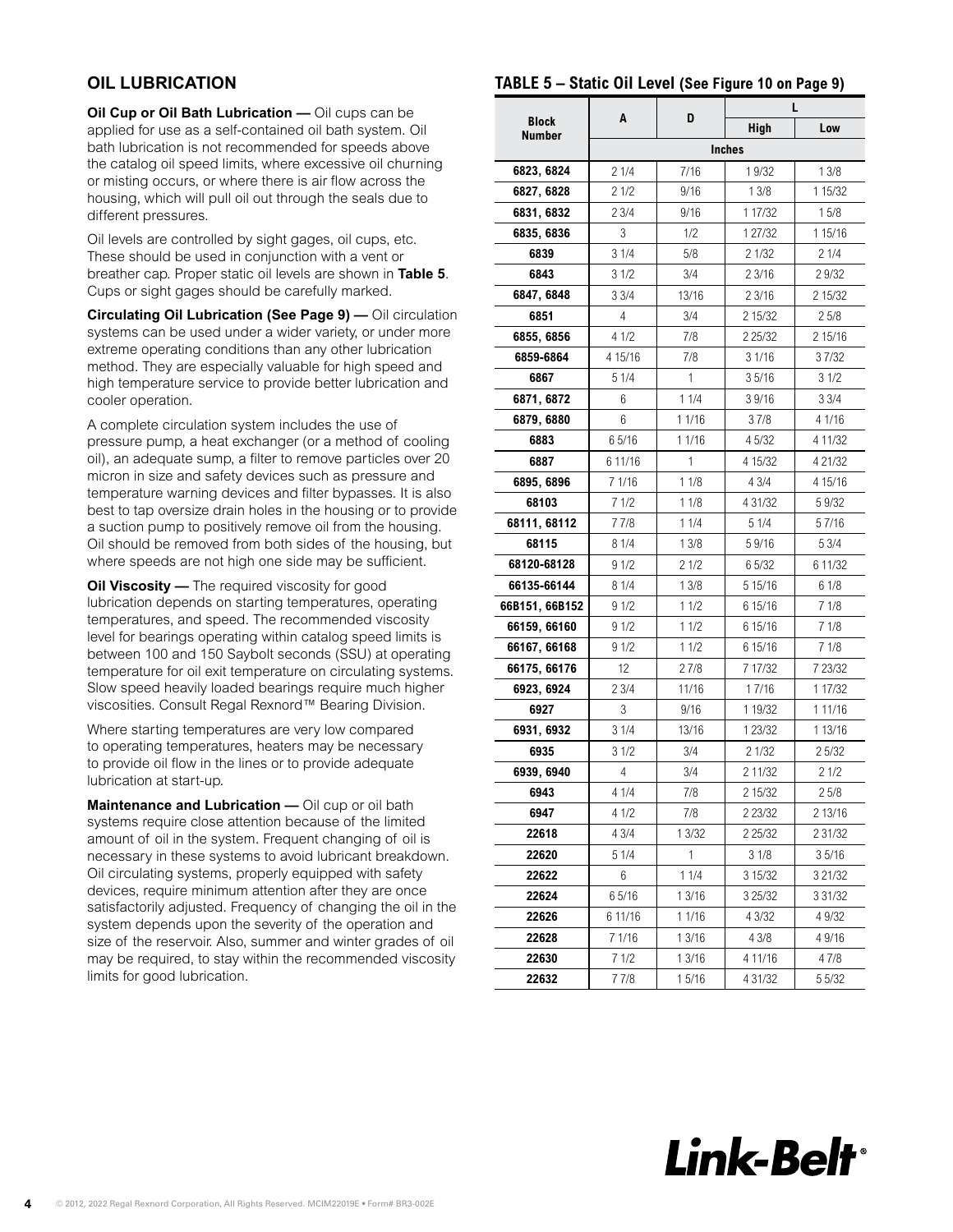# **OIL LUBRICATION**

**Oil Cup or Oil Bath Lubrication —** Oil cups can be applied for use as a self-contained oil bath system. Oil bath lubrication is not recommended for speeds above the catalog oil speed limits, where excessive oil churning or misting occurs, or where there is air flow across the housing, which will pull oil out through the seals due to different pressures.

Oil levels are controlled by sight gages, oil cups, etc. These should be used in conjunction with a vent or breather cap. Proper static oil levels are shown in **Table 5**. Cups or sight gages should be carefully marked.

**Circulating Oil Lubrication (See Page 9) —** Oil circulation systems can be used under a wider variety, or under more extreme operating conditions than any other lubrication method. They are especially valuable for high speed and high temperature service to provide better lubrication and cooler operation.

A complete circulation system includes the use of pressure pump, a heat exchanger (or a method of cooling oil), an adequate sump, a filter to remove particles over 20 micron in size and safety devices such as pressure and temperature warning devices and filter bypasses. It is also best to tap oversize drain holes in the housing or to provide a suction pump to positively remove oil from the housing. Oil should be removed from both sides of the housing, but where speeds are not high one side may be sufficient.

**Oil Viscosity —** The required viscosity for good lubrication depends on starting temperatures, operating temperatures, and speed. The recommended viscosity level for bearings operating within catalog speed limits is between 100 and 150 Saybolt seconds (SSU) at operating temperature for oil exit temperature on circulating systems. Slow speed heavily loaded bearings require much higher viscosities. Consult Regal Rexnord™ Bearing Division.

Where starting temperatures are very low compared to operating temperatures, heaters may be necessary to provide oil flow in the lines or to provide adequate lubrication at start-up.

**Maintenance and Lubrication —** Oil cup or oil bath systems require close attention because of the limited amount of oil in the system. Frequent changing of oil is necessary in these systems to avoid lubricant breakdown. Oil circulating systems, properly equipped with safety devices, require minimum attention after they are once satisfactorily adjusted. Frequency of changing the oil in the system depends upon the severity of the operation and size of the reservoir. Also, summer and winter grades of oil may be required, to stay within the recommended viscosity limits for good lubrication.

# **TABLE 5 – Static Oil Level (See [Figure 10](#page-8-0) on [Page 9\)](#page-8-1)**

| <b>Block</b>   | A       | D      | <b>High</b>   | L<br>Low    |
|----------------|---------|--------|---------------|-------------|
| <b>Number</b>  |         |        | <b>Inches</b> |             |
| 6823, 6824     | 21/4    | 7/16   | 1 9/32        | 13/8        |
| 6827, 6828     | 21/2    | 9/16   | 13/8          | 1 1 5 / 3 2 |
| 6831, 6832     | 23/4    | 9/16   | 1 17/32       | 15/8        |
| 6835, 6836     | 3       | 1/2    | 1 27/32       | 1 15/16     |
| 6839           | 31/4    | 5/8    | 2 1/32        | 21/4        |
| 6843           | 31/2    | 3/4    | 2 3/16        | 29/32       |
| 6847, 6848     | 33/4    | 13/16  | 2 3/16        | 2 15/32     |
| 6851           | 4       | 3/4    | 2 15/32       | 25/8        |
| 6855, 6856     | 4 1/2   | 7/8    | 2 2 5 / 3 2   | 2 15/16     |
| 6859-6864      | 4 15/16 | 7/8    | 3 1/16        | 37/32       |
| 6867           | 5 1/4   | 1      | 35/16         | 31/2        |
| 6871, 6872     | 6       | 11/4   | 39/16         | 33/4        |
| 6879, 6880     | 6       | 1 1/16 | 37/8          | 4 1/16      |
| 6883           | 65/16   | 1 1/16 | 4 5/32        | 4 11/32     |
| 6887           | 6 11/16 | 1      | 4 15/32       | 4 21/32     |
| 6895, 6896     | 7 1/16  | 11/8   | 4 3/4         | 4 15/16     |
| 68103          | 71/2    | 11/8   | 4 31/32       | 59/32       |
| 68111, 68112   | 77/8    | 11/4   | 5 1/4         | 57/16       |
| 68115          | 8 1/4   | 13/8   | 59/16         | 5 3/4       |
| 68120-68128    | 91/2    | 21/2   | 65/32         | 6 11/32     |
| 66135-66144    | 8 1/4   | 13/8   | 5 15/16       | 61/8        |
| 66B151, 66B152 | 91/2    | 11/2   | 6 15/16       | 71/8        |
| 66159, 66160   | 91/2    | 11/2   | 6 15/16       | 71/8        |
| 66167, 66168   | 91/2    | 11/2   | 6 15/16       | 71/8        |
| 66175, 66176   | 12      | 27/8   | 7 17/32       | 7 23/32     |
| 6923, 6924     | 23/4    | 11/16  | 17/16         | 1 17/32     |
| 6927           | 3       | 9/16   | 1 19/32       | 1 11/16     |
| 6931, 6932     | 31/4    | 13/16  | 1 23/32       | 1 13/16     |
| 6935           | 31/2    | 3/4    | 21/32         | 25/32       |
| 6939, 6940     | 4       | 3/4    | 2 11/32       | 21/2        |
| 6943           | 4 1/4   | 7/8    | 2 15/32       | 25/8        |
| 6947           | 4 1/2   | 7/8    | 2 23/32       | 2 13/16     |
| 22618          | 4 3/4   | 1 3/32 | 2 25/32       | 2 31/32     |
| 22620          | 5 1/4   | 1      | 31/8          | 35/16       |
| 22622          | 6       | 11/4   | 3 15/32       | 3 21/32     |
| 22624          | 65/16   | 1 3/16 | 3 25/32       | 3 3 1 / 3 2 |
| 22626          | 6 11/16 | 1 1/16 | 4 3/32        | 4 9/32      |
| 22628          | 7 1/16  | 1 3/16 | 4 3/8         | 49/16       |
| 22630          | 71/2    | 1 3/16 | 4 11/16       | 47/8        |
| 22632          | 77/8    | 15/16  | 4 31/32       | 5 5/32      |

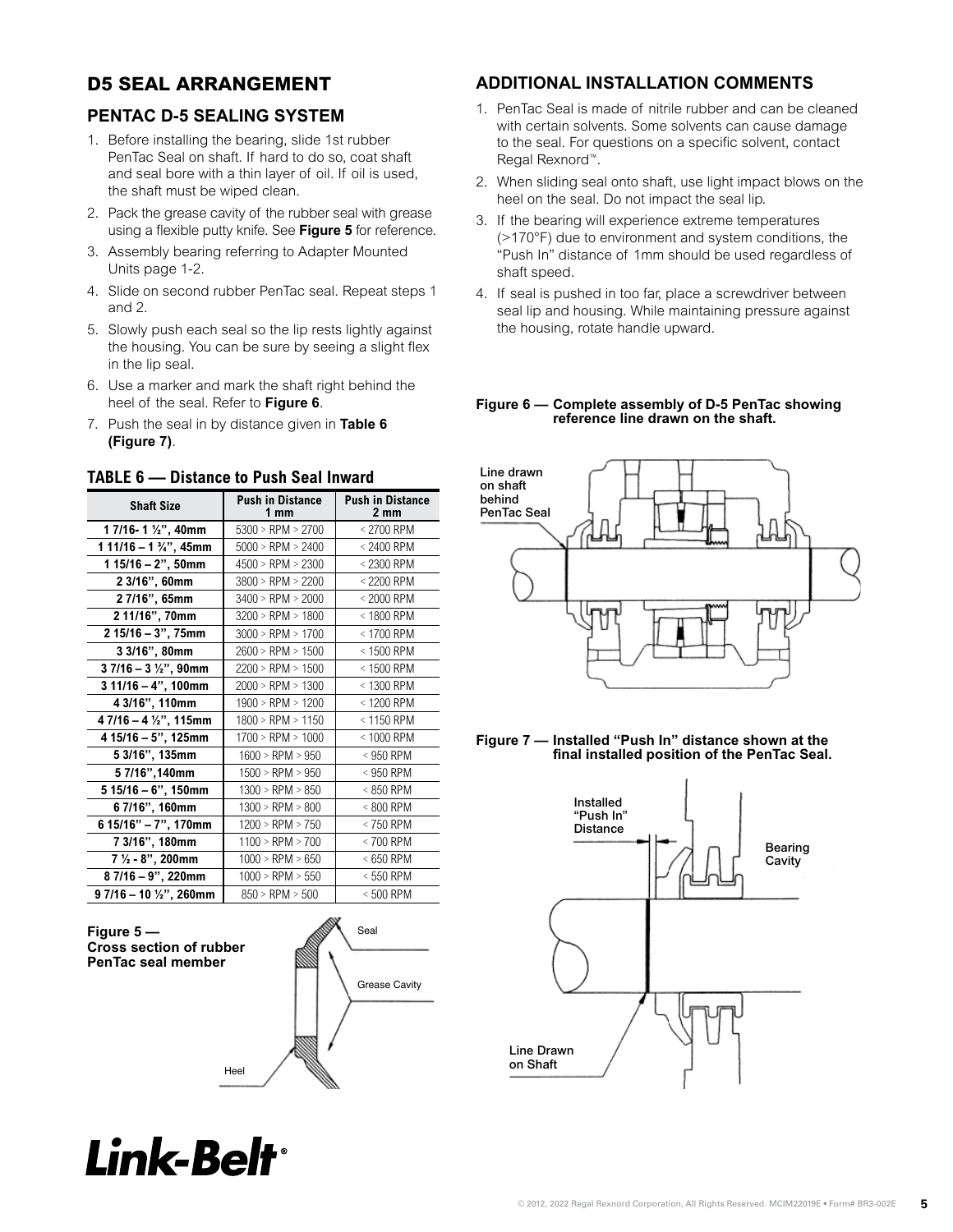# <span id="page-4-0"></span>**D5 SEAL ARRANGEMENT**

# **PENTAC D-5 SEALING SYSTEM**

- 1. Before installing the bearing, slide 1st rubber **PenTac Split Split Split Split Split Split Split II** and to the seal for questions on a specific solvern, contact<br> **PenTac Seal Split House Split House**d Mounted **I**<br> **Regal Rexnord**<sup>"</sup>. PenTac Seal on shaft. If hard to do so, coat shaft Regal Rexnord<sup>™</sup>.<br>and seal bore with a thin layer of oil. If oil is used, <br>2. When eliding soel ante shaft was light impact blows an the the shaft must be wiped clean.
	- 2. Pack the grease cavity of the rubber seal with grease using a flexible putty knife. See Figure 5 for reference.
- Example pant is seening a mondo pant is the constant of the state of the state of the state of the State of the S Units page 1-2. 3. Assembly bearing referring to Adapter Mounted  $\frac{1}{2}$  borning to doming to  $\frac{1}{2}$  the seal bound  $\frac{1}{2}$
- 4. Slide on second rubber PenTac seal. Repeat steps 1 4. If seal is and 2. 4. Slide on second rubber PenTac seal. Repeat steps 1  $an\alpha$  2. put on opportunation in omable.<br>See Figure 3. Assembly bearing referring to ADAPTER MOUNTED UNITS page 1-
- 5. Slowly push each seal so the lip rests lightly against the housing the housing. You can be sure by seeing a slight flex in the lip seal. So the sure by sure by sure by sure by sure by sure by sure by sure by sure by sure by sure b 1. Slow bern second rubber PenTac second rubber PenTac steps 1 and 2. Repeat steps 1 and 2. Repeat steps 1 and 2. Repeat steps 1 and 2. Repeat steps 1 and 2. Repeat steps 1 and 2. Repeat steps 1 and 2. Repeat steps 1 and 2 the housing. Tou can be sure by seeing a sight fiex
- 6. Use a marker and mark the shaft right behind the er see a marker and mark the shart right behind the share of the seal. Refer to **Figure 6.** Figure 6 – heel of the seal. Refer to **Figure 6**.  $\sigma$  a market and
- 7. Push the seal in by distance given in **Table 6 (Figure 7)**. **Table 6: District 6: District Forms**

| <b>Shaft Size</b>                 | <b>Push in Distance</b><br>1 mm | <b>Push in Distance</b><br>$2 \, \text{mm}$ |
|-----------------------------------|---------------------------------|---------------------------------------------|
| 1 7/16-1 1/2", 40mm               | $5300 >$ RPM $> 2700$           | < 2700 RPM                                  |
| 1 11/16 - 1 $\frac{3}{4}$ ", 45mm | $5000$ > RPM > 2400             | $< 2400$ RPM                                |
| $115/16 - 2$ ", 50mm              | $4500 >$ RPM $> 2300$           | < 2300 RPM                                  |
| 2 3/16", 60mm                     | $3800 >$ RPM $> 2200$           | $<$ 2200 RPM                                |
| 2 7/16", 65mm                     | $3400 >$ RPM $> 2000$           | $< 2000$ RPM                                |
| 2 11/16", 70mm                    | $3200 >$ RPM $> 1800$           | $<$ 1800 RPM                                |
| 2 15/16 - 3", 75mm                | $3000 >$ RPM $> 1700$           | $< 1700$ RPM                                |
| 3 3/16", 80mm                     | $2600 >$ RPM $> 1500$           | $< 1500$ RPM                                |
| $37/16 - 3\frac{1}{2}$ , 90mm     | $2200 >$ RPM $> 1500$           | < 1500 RPM                                  |
| $311/16 - 4$ ", 100mm             | $2000$ > RPM > 1300             | $<$ 1300 RPM                                |
| 4 3/16", 110mm                    | $1900 >$ RPM $> 1200$           | $<$ 1200 RPM                                |
| $47/16 - 4\frac{1}{2}$ , 115mm    | $1800 >$ RPM $> 1150$           | $<$ 1150 RPM                                |
| $415/16 - 5$ ", 125mm             | $1700 >$ RPM $> 1000$           | $< 1000$ RPM                                |
| 5 3/16", 135mm                    | $1600$ > RPM > 950              | $<$ 950 RPM                                 |
| 5 7/16", 140mm                    | $1500 >$ RPM $> 950$            | $<$ 950 RPM                                 |
| $515/16 - 6$ ", 150mm             | $1300 >$ RPM $> 850$            | $< 850$ RPM                                 |
| 6 7/16", 160mm                    | $1300 >$ RPM $> 800$            | $< 800$ RPM                                 |
| $615/16" - 7"$ , 170mm            | $1200 >$ RPM $> 750$            | $<$ 750 RPM                                 |
| 7 3/16", 180mm                    | $1100 >$ RPM $> 700$            | $< 700$ RPM                                 |
| $7\frac{1}{2}$ - 8", 200mm        | $1000$ > RPM > 650              | $<650$ RPM                                  |
| 8 7/16 - 9", 220mm                | $1000 >$ RPM $> 550$            | $< 550$ RPM                                 |
| $97/16 - 10\frac{1}{2}$ , 260mm   | $850 >$ RPM $> 500$             | $< 500$ RPM                                 |





# Heel Lip

# **ADDITIONAL INSTALLATION COMMENTS**

- 1. PenTac Seal is made of nitrile rubber and can be cleaned with certain solvents. Some solvents can cause damage to the seal. For questions on a specific solvent, contact Regal Rexnord™.
- and sear bore with a thirtager or on. If on is used,<br>
2. When sliding seal on to shaft, use light impact blows on the<br> **beal** on the seal Do not impact the seal lin the shaft must be wiped clean.<br> **A** *Roller Bearing Search Bearties Search Search Bearties* **Department in the seal ID not impact the seal lip.** 
	- **1. Intel on the seal. Do not impact the seal lip.**<br> *Link* of the rubber seal with grease **1. If the bearing will experience extreme temperatures** white. See **Figure 5** for reference. (>170°F) due to environment and system conditions, the  $(>170^\circ F)$ "Push In" distance of 1mm should be used regardless of<br>shaft speed. shaft speed. custance of Timit should be used regardless of  ${\sf eed.}$  specific solvent, contact Rexnorm  ${\sf ecl.}$ 
		- 4. If seal is pushed in too far, place a screwdriver between seal lip and housing. While maintaining pressure against the housing, rotate handle upward. f seal is pushed in too far, place a screwdriver between environment and system conditions, the "Push In" distance of 1mm  $\mu$  pushed in too rai, place a scr should be used regardless of shaft speed.

# Figure 6 — Complete assembly of D-5 PenTac showing **reference line drawn on the shaft.**





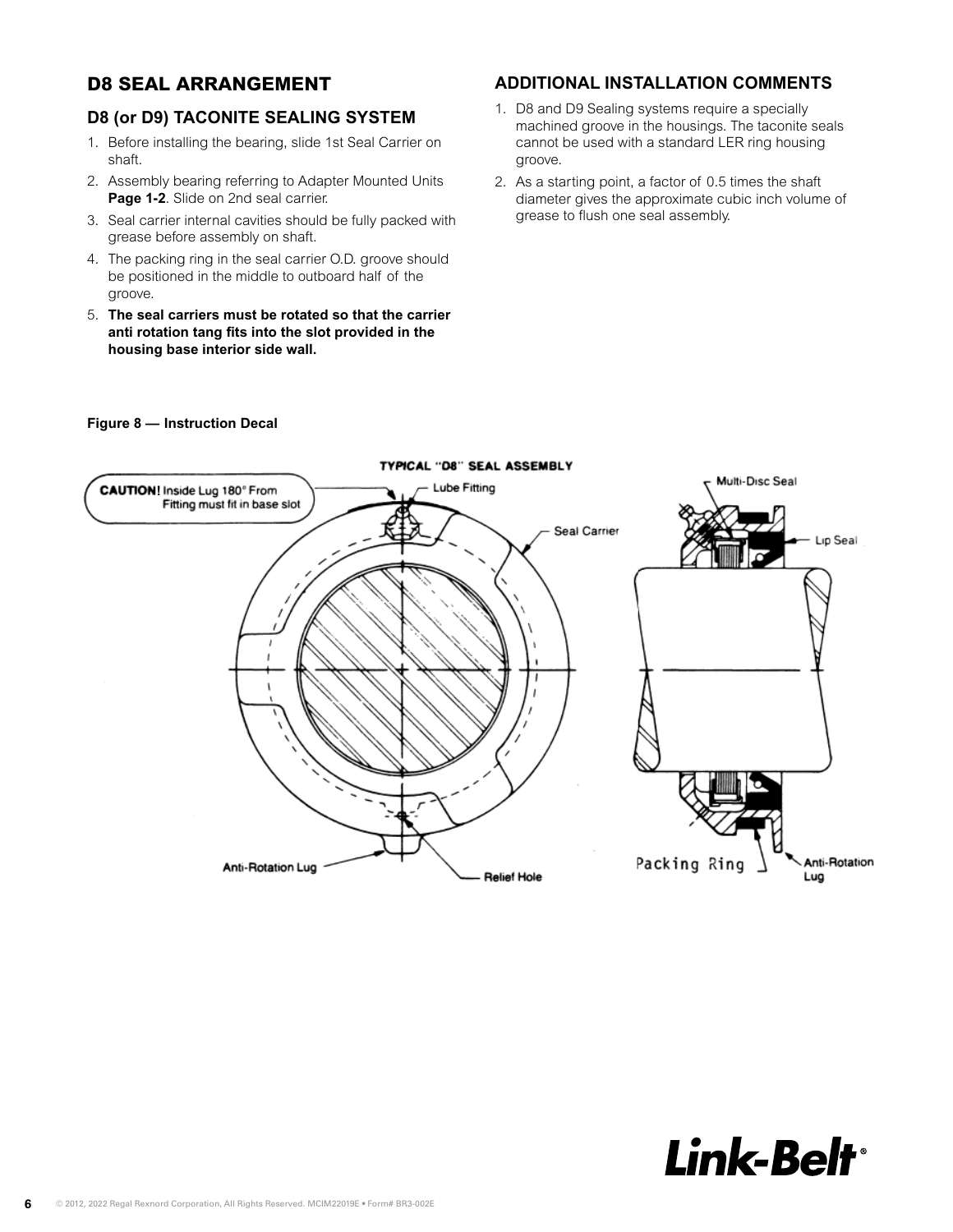# <span id="page-5-0"></span>**D8 SEAL ARRANGEMENT**

# **D8 (or D9) TACONITE SEALING SYSTEM**

- 1. Before installing the bearing, slide 1st Seal Carrier on shaft.
- 2. Assembly bearing referring to Adapter Mounted Units **Page 1-2**. Slide on 2nd seal carrier.
- **grease before assembly on shaft.** *BBB* **D8 Search Bearing Search Bearings and <b>CRS**
- 4. The packing ring in the seal carrier O.D. groove should be positioned in the middle to outboard half of the<br>CLOOVE groove.  $9.0006$
- 5. **The seal carriers must be rotated so that the carrier**  anti rotation tang fits into the slot provided in the housing base interior side wall.  $2.5$  The seal carriers must be rotated so that the carrie becausing base into

# **ADDITIONAL INSTALLATION COMMENTS**

- 1. D8 and D9 Sealing systems require a specially machined groove in the housings. The taconite seals cannot be used with a standard LER ring housing groove.
- **Page 1-2**. Slide on 2nd seal carrier.<br>3. Seal carrier internal cavities should be fully packed with grease to flush one seal assembly. 2. As a starting point, a factor of 0.5 times the shaft



### **Figure 8 – Instruction Decal**

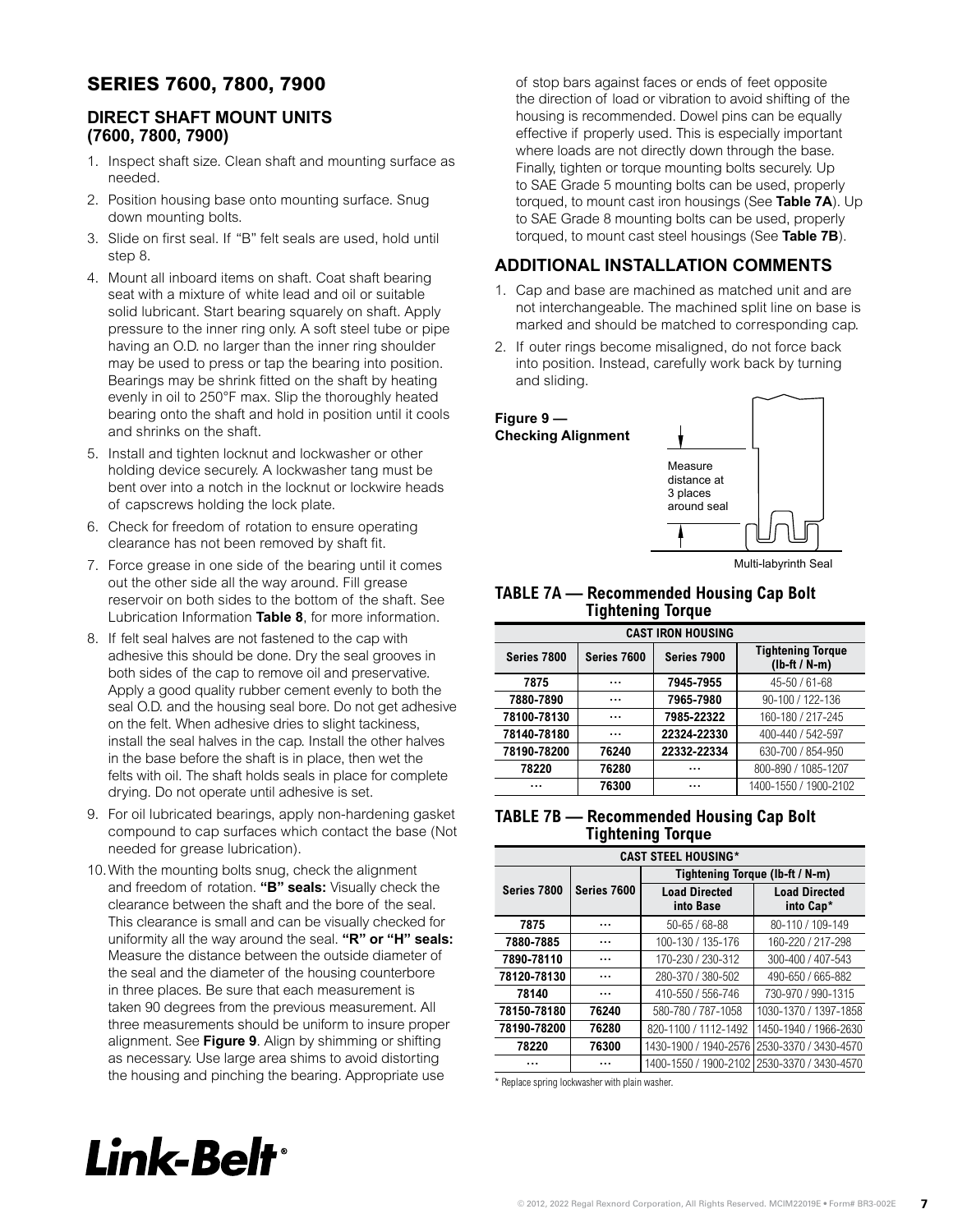# **SERIES 7600, 7800, 7900**

# **DIRECT SHAFT MOUNT UNITS (7600, 7800, 7900)**

- 1. Inspect shaft size. Clean shaft and mounting surface as needed.
- 2. Position housing base onto mounting surface. Snug down mounting bolts.
- 3. Slide on first seal. If "B" felt seals are used, hold until step 8.
- 4. Mount all inboard items on shaft. Coat shaft bearing seat with a mixture of white lead and oil or suitable solid lubricant. Start bearing squarely on shaft. Apply pressure to the inner ring only. A soft steel tube or pipe having an O.D. no larger than the inner ring shoulder may be used to press or tap the bearing into position. Bearings may be shrink fitted on the shaft by heating evenly in oil to 250°F max. Slip the thoroughly heated bearing onto the shaft and hold in position until it cools and shrinks on the shaft.
- 5. Install and tighten locknut and lockwasher or other holding device securely. A lockwasher tang must be bent over into a notch in the locknut or lockwire heads of capscrews holding the lock plate.
- 6. Check for freedom of rotation to ensure operating clearance has not been removed by shaft fit.
- 7. Force grease in one side of the bearing until it comes out the other side all the way around. Fill grease reservoir on both sides to the bottom of the shaft. See Lubrication Information **[Table 8](#page-7-0)**, for more information.
- 8. If felt seal halves are not fastened to the cap with adhesive this should be done. Dry the seal grooves in both sides of the cap to remove oil and preservative. Apply a good quality rubber cement evenly to both the seal O.D. and the housing seal bore. Do not get adhesive on the felt. When adhesive dries to slight tackiness, install the seal halves in the cap. Install the other halves in the base before the shaft is in place, then wet the felts with oil. The shaft holds seals in place for complete drying. Do not operate until adhesive is set.
- 9. For oil lubricated bearings, apply non-hardening gasket compound to cap surfaces which contact the base (Not needed for grease lubrication).
- 10.With the mounting bolts snug, check the alignment and freedom of rotation. **"B" seals:** Visually check the clearance between the shaft and the bore of the seal. This clearance is small and can be visually checked for uniformity all the way around the seal. **"R" or "H" seals:**  Measure the distance between the outside diameter of the seal and the diameter of the housing counterbore in three places. Be sure that each measurement is taken 90 degrees from the previous measurement. All three measurements should be uniform to insure proper alignment. See **Figure 9**. Align by shimming or shifting as necessary. Use large area shims to avoid distorting the housing and pinching the bearing. Appropriate use

of stop bars against faces or ends of feet opposite the direction of load or vibration to avoid shifting of the housing is recommended. Dowel pins can be equally effective if properly used. This is especially important where loads are not directly down through the base. Finally, tighten or torque mounting bolts securely. Up to SAE Grade 5 mounting bolts can be used, properly torqued, to mount cast iron housings (See **Table 7A**). Up to SAE Grade 8 mounting bolts can be used, properly torqued, to mount cast steel housings (See **Table 7B**).

# **ADDITIONAL INSTALLATION COMMENTS**

- 1. Cap and base are machined as matched unit and are not interchangeable. The machined split line on base is marked and should be matched to corresponding cap.
- 2. If outer rings become misaligned, do not force back into position. Instead, carefully work back by turning and sliding.



Multi-labyrinth Seal

# **TABLE 7A — Recommended Housing Cap Bolt Tightening Torque**

| <b>CAST IRON HOUSING</b> |             |             |                                             |  |  |  |
|--------------------------|-------------|-------------|---------------------------------------------|--|--|--|
| Series 7800              | Series 7600 | Series 7900 | <b>Tightening Torque</b><br>$(lb-ft / N-m)$ |  |  |  |
| 7875                     |             | 7945-7955   | 45-50 / 61-68                               |  |  |  |
| 7880-7890                | .           | 7965-7980   | 90-100 / 122-136                            |  |  |  |
| 78100-78130              | .           | 7985-22322  | 160-180 / 217-245                           |  |  |  |
| 78140-78180              | .           | 22324-22330 | 400-440 / 542-597                           |  |  |  |
| 78190-78200              | 76240       | 22332-22334 | 630-700 / 854-950                           |  |  |  |
| 78220                    | 76280       |             | 800-890 / 1085-1207                         |  |  |  |
|                          | 76300       |             | 1400-1550 / 1900-2102                       |  |  |  |

## **TABLE 7B — Recommended Housing Cap Bolt Tightening Torque**

| <b>CAST STEEL HOUSING*</b> |             |                                   |                                   |  |  |  |
|----------------------------|-------------|-----------------------------------|-----------------------------------|--|--|--|
|                            |             | Tightening Torque (lb-ft / N-m)   |                                   |  |  |  |
| Series 7800                | Series 7600 | <b>Load Directed</b><br>into Base | <b>Load Directed</b><br>into Cap* |  |  |  |
| 7875                       |             | $50 - 65 / 68 - 88$               | 80-110 / 109-149                  |  |  |  |
| 7880-7885                  |             | 100-130 / 135-176                 | 160-220 / 217-298                 |  |  |  |
| 7890-78110                 |             | 170-230 / 230-312                 | 300-400 / 407-543                 |  |  |  |
| 78120-78130                |             | 280-370 / 380-502                 | 490-650 / 665-882                 |  |  |  |
| 78140                      |             | 410-550 / 556-746                 | 730-970 / 990-1315                |  |  |  |
| 78150-78180                | 76240       | 580-780 / 787-1058                | 1030-1370 / 1397-1858             |  |  |  |
| 78190-78200                | 76280       | 820-1100 / 1112-1492              | 1450-1940 / 1966-2630             |  |  |  |
| 78220                      | 76300       | 1430-1900 / 1940-2576             | 2530-3370 / 3430-4570             |  |  |  |
|                            |             | 1400-1550 / 1900-2102             | 2530-3370 / 3430-4570             |  |  |  |

\* Replace spring lockwasher with plain washer.

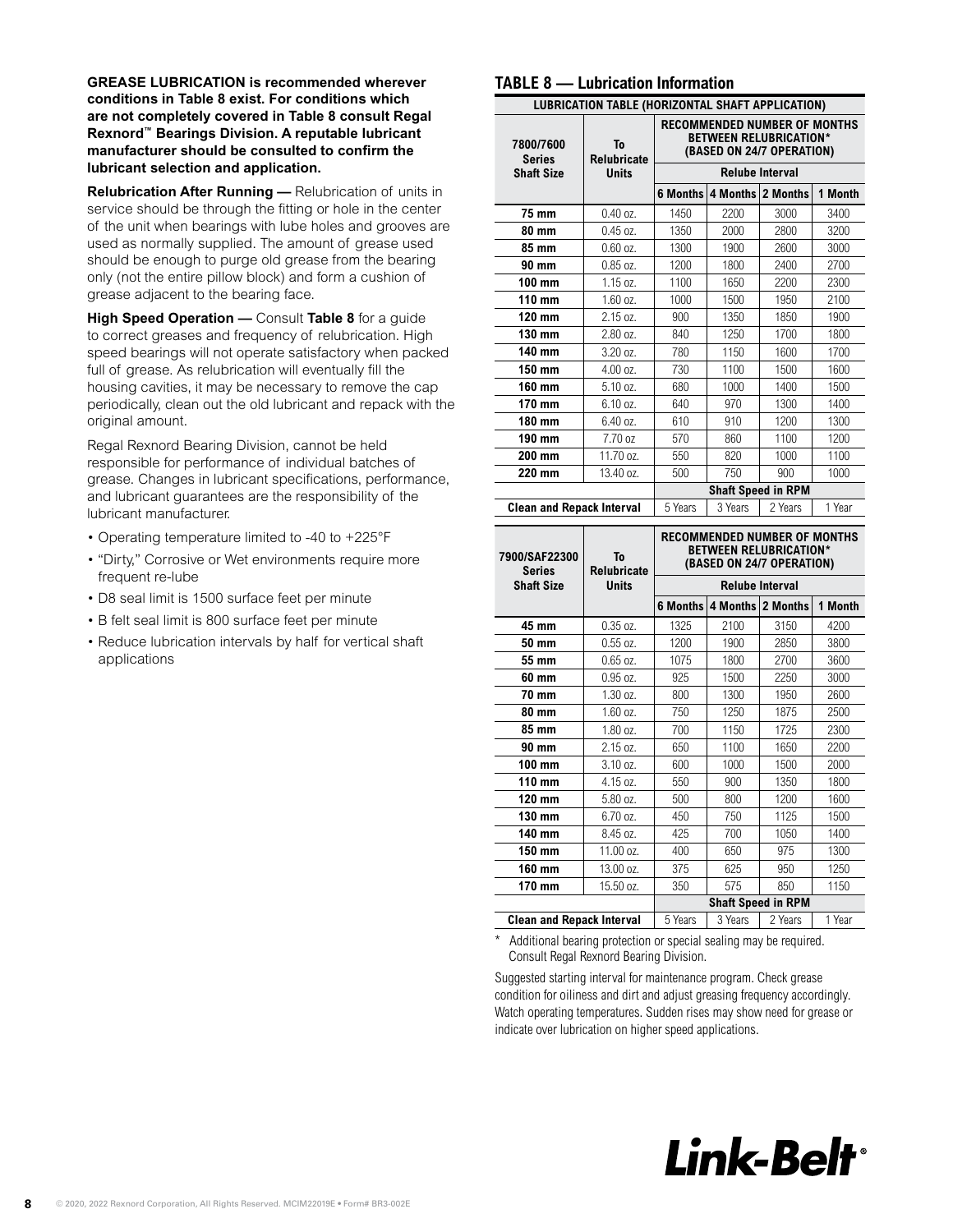**GREASE LUBRICATION is recommended wherever conditions in Table 8 exist. For conditions which are not completely covered in Table 8 consult Regal Rexnord™ Bearings Division. A reputable lubricant manufacturer should be consulted to confirm the lubricant selection and application.** 

**Relubrication After Running —** Relubrication of units in service should be through the fitting or hole in the center of the unit when bearings with lube holes and grooves are used as normally supplied. The amount of grease used should be enough to purge old grease from the bearing only (not the entire pillow block) and form a cushion of grease adjacent to the bearing face.

**High Speed Operation —** Consult **Table 8** for a guide to correct greases and frequency of relubrication. High speed bearings will not operate satisfactory when packed full of grease. As relubrication will eventually fill the housing cavities, it may be necessary to remove the cap periodically, clean out the old lubricant and repack with the original amount.

Regal Rexnord Bearing Division, cannot be held responsible for performance of individual batches of grease. Changes in lubricant specifications, performance, and lubricant guarantees are the responsibility of the lubricant manufacturer.

- Operating temperature limited to -40 to +225°F
- "Dirty," Corrosive or Wet environments require more frequent re-lube
- D8 seal limit is 1500 surface feet per minute
- B felt seal limit is 800 surface feet per minute
- Reduce lubrication intervals by half for vertical shaft applications

#### <span id="page-7-0"></span>**TABLE 8 — Lubrication Information**

|                                  | <b>LUBRICATION TABLE (HORIZONTAL SHAFT APPLICATION)</b> |                                                                                                   |                           |                        |         |  |
|----------------------------------|---------------------------------------------------------|---------------------------------------------------------------------------------------------------|---------------------------|------------------------|---------|--|
| 7800/7600<br><b>Series</b>       | To<br><b>Relubricate</b>                                | <b>RECOMMENDED NUMBER OF MONTHS</b><br><b>BETWEEN RELUBRICATION*</b><br>(BASED ON 24/7 OPERATION) |                           |                        |         |  |
| <b>Shaft Size</b>                | <b>Units</b>                                            | <b>Relube Interval</b>                                                                            |                           |                        |         |  |
|                                  |                                                         | 6 Months                                                                                          | 4 Months 2 Months         |                        | 1 Month |  |
| 75 mm                            | $0.40$ oz.                                              | 1450                                                                                              | 2200                      | 3000                   | 3400    |  |
| 80 mm                            | $0.45$ oz.                                              | 1350                                                                                              | 2000                      | 2800                   | 3200    |  |
| 85 mm                            | $0.60$ oz.                                              | 1300                                                                                              | 1900                      | 2600                   | 3000    |  |
| 90 mm                            | $0.85$ oz.                                              | 1200                                                                                              | 1800                      | 2400                   | 2700    |  |
| 100 mm                           | 1.15 oz.                                                | 1100                                                                                              | 1650                      | 2200                   | 2300    |  |
| 110 mm                           | 1.60 oz.                                                | 1000                                                                                              | 1500                      | 1950                   | 2100    |  |
| 120 mm                           | 2.15 oz.                                                | 900                                                                                               | 1350                      | 1850                   | 1900    |  |
| 130 mm                           | 2.80 oz.                                                | 840                                                                                               | 1250                      | 1700                   | 1800    |  |
| 140 mm                           | 3.20 oz.                                                | 780                                                                                               | 1150                      | 1600                   | 1700    |  |
| 150 mm                           | 4.00 oz.                                                | 730                                                                                               | 1100                      | 1500                   | 1600    |  |
| 160 mm                           | 5.10 oz.                                                | 680                                                                                               | 1000                      | 1400                   | 1500    |  |
| 170 mm                           | 6.10 oz.                                                | 640                                                                                               | 970                       | 1300                   | 1400    |  |
| 180 mm                           | 6.40 oz.                                                | 610                                                                                               | 910                       | 1200                   | 1300    |  |
| 190 mm                           | 7.70 oz                                                 | 570                                                                                               | 860                       | 1100                   | 1200    |  |
| 200 mm                           | 11.70 oz.                                               | 550                                                                                               | 820                       | 1000                   | 1100    |  |
| 220 mm                           | 13.40 oz.                                               | 500                                                                                               | 750                       | 900                    | 1000    |  |
|                                  |                                                         |                                                                                                   | <b>Shaft Speed in RPM</b> |                        |         |  |
| <b>Clean and Repack Interval</b> |                                                         | 5 Years                                                                                           | 3 Years                   | 2 Years                | 1 Year  |  |
| 7900/SAF22300<br><b>Series</b>   | To<br><b>Relubricate</b>                                | <b>RECOMMENDED NUMBER OF MONTHS</b><br><b>BETWEEN RELUBRICATION*</b><br>(BASED ON 24/7 OPERATION) |                           |                        |         |  |
| <b>Shaft Size</b>                | <b>Units</b>                                            |                                                                                                   |                           | <b>Relube Interval</b> |         |  |
|                                  |                                                         | 6 Months                                                                                          | 4 Months 2 Months         |                        | 1 Month |  |
| 45 mm                            | $0.35$ oz.                                              | 1325                                                                                              | 2100                      | 3150                   | 4200    |  |
| <b>50 mm</b>                     | $0.55$ oz.                                              | 1200                                                                                              | 1900                      | 2850                   | 3800    |  |
| 55 mm                            | $0.65$ oz.                                              | 1075                                                                                              | 1800                      | 2700                   | 3600    |  |
| 60 mm                            | $0.95$ oz.                                              | 925                                                                                               | 1500                      | 2250                   | 3000    |  |
| 70 mm                            | 1.30 oz.                                                | 800                                                                                               | 1300                      | 1950                   | 2600    |  |
| 80 mm                            | 1.60 oz.                                                | 750                                                                                               | 1250                      | 1875                   | 2500    |  |
| 85 mm                            | 1.80 oz.                                                | 700                                                                                               | 1150                      | 1725                   | 2300    |  |
| 90 mm                            | 2.15 oz.                                                | 650                                                                                               | 1100                      | 1650                   | 2200    |  |
| 100 mm                           | 3.10 oz.                                                | 600                                                                                               | 1000                      | 1500                   | 2000    |  |
| 110 mm                           | 4.15 oz.                                                | 550                                                                                               | 900                       | 1350                   | 1800    |  |
| 120 mm                           | 5.80 oz.                                                | 500                                                                                               | 800                       | 1200                   | 1600    |  |
| 130 mm                           | 6.70 oz.                                                | 450                                                                                               | 750                       | 1125                   | 1500    |  |
| 140 mm                           |                                                         |                                                                                                   |                           |                        |         |  |
|                                  | 8.45 oz.                                                | 425                                                                                               | 700                       | 1050                   | 1400    |  |
| 150 mm                           | 11.00 oz.                                               | 400                                                                                               | 650                       | 975                    | 1300    |  |

**Shaft Speed in RPM Clean and Repack Interval** | 5 Years | 3 Years | 2 Years | 1 Year

**170 mm** 15.50 oz. 350 575 850 1150

Additional bearing protection or special sealing may be required. Consult Regal Rexnord Bearing Division.

Suggested starting interval for maintenance program. Check grease condition for oiliness and dirt and adjust greasing frequency accordingly. Watch operating temperatures. Sudden rises may show need for grease or indicate over lubrication on higher speed applications.

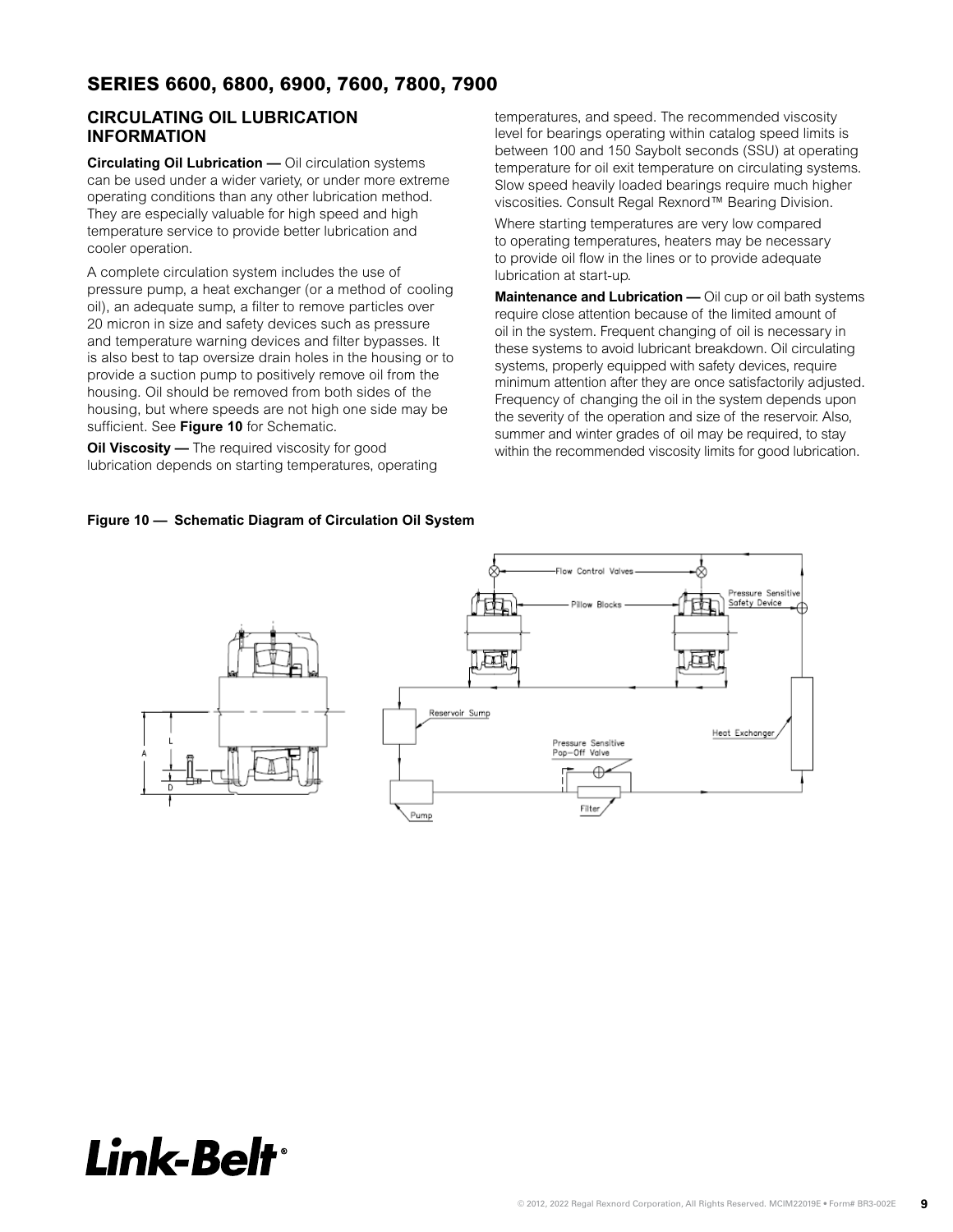# <span id="page-8-1"></span>**SERIES 6600, 6800, 6900, 7600, 7800, 7900**

# **CIRCULATING OIL LUBRICATION INFORMATION**

**INFORMATION<br>Circulating Oil Lubrication —** Oil circulation systems can be used under a wider variety, or under more extreme  They are especially valuable for high speed and high temperature service to provide better lubrication and operating conditions than any other lubrication method. cooler operation.

A complete circulation system includes the use of high speed and high speed and complete circulation system includes the use of pressure pump, a heat exchanger (or a method of cooling **or a filter of pressure pump**, a filter to remove sumple zo microministic and safety devices such as pressure one oil<br>and temperature warning devices and filter bypasses. It and temperature warning devices and filter bypasses. It<br>is also heat to the good less the hall of the haveing enter the recommended with the systems to avoid lubricant breakdown. Oil circulating is also best to tap oversize drain holes in the housing or to  $\frac{10000 \text{ N}}{200000 \text{ N}}$  and  $\frac{1}{200000 \text{ N}}$  and  $\frac{1}{200000 \text{ N}}$  and  $\frac{1}{200000 \text{ N}}$  and  $\frac{1}{200000 \text{ N}}$  and  $\frac{1}{200000 \text{ N}}$ provide a suction pump to positively remove oil from the<br>minimum attortion after they are ence esticfactorily housing. Oil should be removed from both sides of the housing, but where speeds are not high one side may be Oil cup or oil bath systems require close attention because of the limited amount of oil in the system. Frequent changing of oil is necessary in these sufficient. See **Figure 10** for Schematic. 20 micron in size and safety devices such as pressure

lubrication depends on starting temperatures, operating.  $\blacksquare$ **Oil Viscosity —** The required viscosity for good

level for bearings operating within catalog speed limits is between 100 and 150 Saybolt seconds (SSU) at operating **Series 7600, 7800, & 7900** Slow speed heavily loaded bearings require much higher temperatures, and speed. The recommended viscosity temperature for oil exit temperature on circulating systems. viscosities. Consult Regal Rexnord™ Bearing Division.

collation-extreme of Circulation.<br>
to provide oil flow in the lines or to provide adequate Where starting temperatures are very low compared to operating temperatures, heaters may be necessary lubrication at start-up.

particles over  $\frac{1}{2}$  micron in size and safety devices and  $\frac{1}{2}$  minimized best to the limited consumption of the limited consumption of the limited consumption on, an autequate sump, a must be rinove particles over require close attention because of the limited amount of Where a successive temperature of the comparison in the minimum attention after they are once satisfactorily adjusted. summer and winter grades of oil may be required, to stay<br>
summer and winter grades of oil may be required, to stay **Oil Viscosity** — The required viscosity tor good within the recommended viscosity limits for good lubrication. **Maintenance and Lubrication —** Oil cup or oil bath systems oil in the system. Frequent changing of oil is necessary in systems, properly equipped with safety devices, require Frequency of changing the oil in the system depends upon the severity of the operation and size of the reservoir. Also,



<span id="page-8-0"></span>